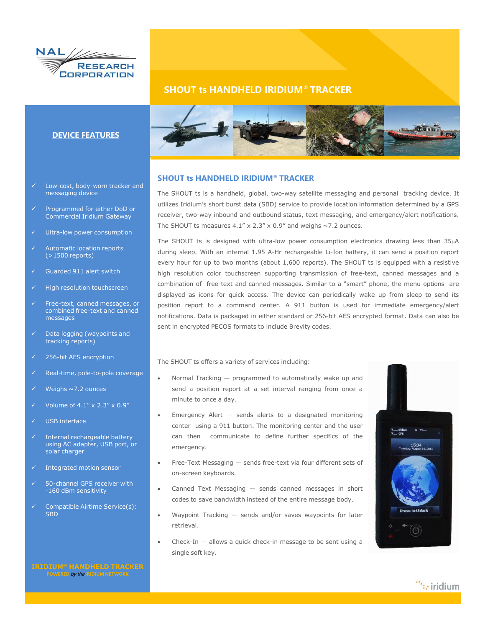

## **SHOUT ts HANDHELD IRIDIUM® TRACKER**



## **SHOUT ts HANDHELD IRIDIUM® TRACKER**

The SHOUT ts is a handheld, global, two-way satellite messaging and personal tracking device. It utilizes Iridium's short burst data (SBD) service to provide location information determined by a GPS receiver, two-way inbound and outbound status, text messaging, and emergency/alert notifications. The SHOUT ts measures 4.1" x 2.3" x 0.9" and weighs  $\sim$ 7.2 ounces.

The SHOUT ts is designed with ultra-low power consumption electronics drawing less than 35µA during sleep. With an internal 1.95 A-Hr rechargeable Li-Ion battery, it can send a position report every hour for up to two months (about 1,600 reports). The SHOUT ts is equipped with a resistive high resolution color touchscreen supporting transmission of free-text, canned messages and a combination of free-text and canned messages. Similar to a "smart" phone, the menu options are displayed as icons for quick access. The device can periodically wake up from sleep to send its position report to a command center. A 911 button is used for immediate emergency/alert notifications. Data is packaged in either standard or 256-bit AES encrypted format. Data can also be sent in encrypted PECOS formats to include Brevity codes.

The SHOUT ts offers a variety of services including:

- Normal Tracking programmed to automatically wake up and send a position report at a set interval ranging from once a minute to once a day.
- Emergency Alert sends alerts to a designated monitoring center using a 911 button. The monitoring center and the user can then communicate to define further specifics of the emergency.
- Free-Text Messaging sends free-text via four different sets of on-screen keyboards.
- Canned Text Messaging sends canned messages in short codes to save bandwidth instead of the entire message body.
- Waypoint Tracking sends and/or saves waypoints for later retrieval.
- Check-In  $-$  allows a quick check-in message to be sent using a single soft key.



 $\dddot{\cdots}$  iridium

**DEVICE FEATURES**

- Low-cost, body-worn tracker and messaging device
- Programmed for either DoD or Commercial Iridium Gateway
- Ultra-low power consumption
- Automatic location reports (>1500 reports)
- Guarded 911 alert switch
- High resolution touchscreen
- Free-text, canned messages, or combined free-text and canned messages
- Data logging (waypoints and tracking reports)
- $\times$  256-bit AES encryption
- Real-time, pole-to-pole coverage
- Weighs ~7.2 ounces
- Volume of 4.1" x 2.3" x 0.9"
- USB interface
- Internal rechargeable battery using AC adapter, USB port, or solar charger
- Integrated motion sensor
- 50-channel GPS receiver with -160 dBm sensitivity
- Compatible Airtime Service(s): SBD

**POWERED** by the **IRIDIUM NETWORK**